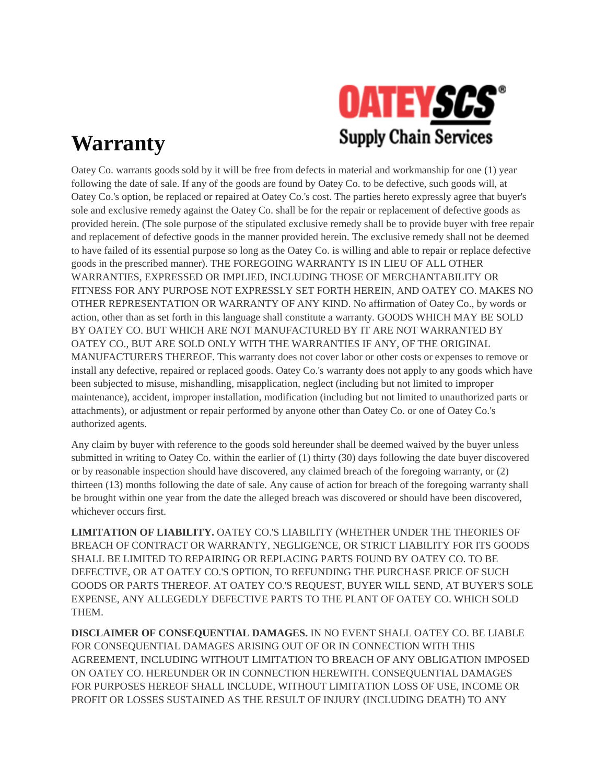

## **Warranty**

Oatey Co. warrants goods sold by it will be free from defects in material and workmanship for one (1) year following the date of sale. If any of the goods are found by Oatey Co. to be defective, such goods will, at Oatey Co.'s option, be replaced or repaired at Oatey Co.'s cost. The parties hereto expressly agree that buyer's sole and exclusive remedy against the Oatey Co. shall be for the repair or replacement of defective goods as provided herein. (The sole purpose of the stipulated exclusive remedy shall be to provide buyer with free repair and replacement of defective goods in the manner provided herein. The exclusive remedy shall not be deemed to have failed of its essential purpose so long as the Oatey Co. is willing and able to repair or replace defective goods in the prescribed manner). THE FOREGOING WARRANTY IS IN LIEU OF ALL OTHER WARRANTIES, EXPRESSED OR IMPLIED, INCLUDING THOSE OF MERCHANTABILITY OR FITNESS FOR ANY PURPOSE NOT EXPRESSLY SET FORTH HEREIN, AND OATEY CO. MAKES NO OTHER REPRESENTATION OR WARRANTY OF ANY KIND. No affirmation of Oatey Co., by words or action, other than as set forth in this language shall constitute a warranty. GOODS WHICH MAY BE SOLD BY OATEY CO. BUT WHICH ARE NOT MANUFACTURED BY IT ARE NOT WARRANTED BY OATEY CO., BUT ARE SOLD ONLY WITH THE WARRANTIES IF ANY, OF THE ORIGINAL MANUFACTURERS THEREOF. This warranty does not cover labor or other costs or expenses to remove or install any defective, repaired or replaced goods. Oatey Co.'s warranty does not apply to any goods which have been subjected to misuse, mishandling, misapplication, neglect (including but not limited to improper maintenance), accident, improper installation, modification (including but not limited to unauthorized parts or attachments), or adjustment or repair performed by anyone other than Oatey Co. or one of Oatey Co.'s authorized agents.

Any claim by buyer with reference to the goods sold hereunder shall be deemed waived by the buyer unless submitted in writing to Oatey Co. within the earlier of (1) thirty (30) days following the date buyer discovered or by reasonable inspection should have discovered, any claimed breach of the foregoing warranty, or (2) thirteen (13) months following the date of sale. Any cause of action for breach of the foregoing warranty shall be brought within one year from the date the alleged breach was discovered or should have been discovered, whichever occurs first.

**LIMITATION OF LIABILITY.** OATEY CO.'S LIABILITY (WHETHER UNDER THE THEORIES OF BREACH OF CONTRACT OR WARRANTY, NEGLIGENCE, OR STRICT LIABILITY FOR ITS GOODS SHALL BE LIMITED TO REPAIRING OR REPLACING PARTS FOUND BY OATEY CO. TO BE DEFECTIVE, OR AT OATEY CO.'S OPTION, TO REFUNDING THE PURCHASE PRICE OF SUCH GOODS OR PARTS THEREOF. AT OATEY CO.'S REQUEST, BUYER WILL SEND, AT BUYER'S SOLE EXPENSE, ANY ALLEGEDLY DEFECTIVE PARTS TO THE PLANT OF OATEY CO. WHICH SOLD THEM.

**DISCLAIMER OF CONSEQUENTIAL DAMAGES.** IN NO EVENT SHALL OATEY CO. BE LIABLE FOR CONSEQUENTIAL DAMAGES ARISING OUT OF OR IN CONNECTION WITH THIS AGREEMENT, INCLUDING WITHOUT LIMITATION TO BREACH OF ANY OBLIGATION IMPOSED ON OATEY CO. HEREUNDER OR IN CONNECTION HEREWITH. CONSEQUENTIAL DAMAGES FOR PURPOSES HEREOF SHALL INCLUDE, WITHOUT LIMITATION LOSS OF USE, INCOME OR PROFIT OR LOSSES SUSTAINED AS THE RESULT OF INJURY (INCLUDING DEATH) TO ANY